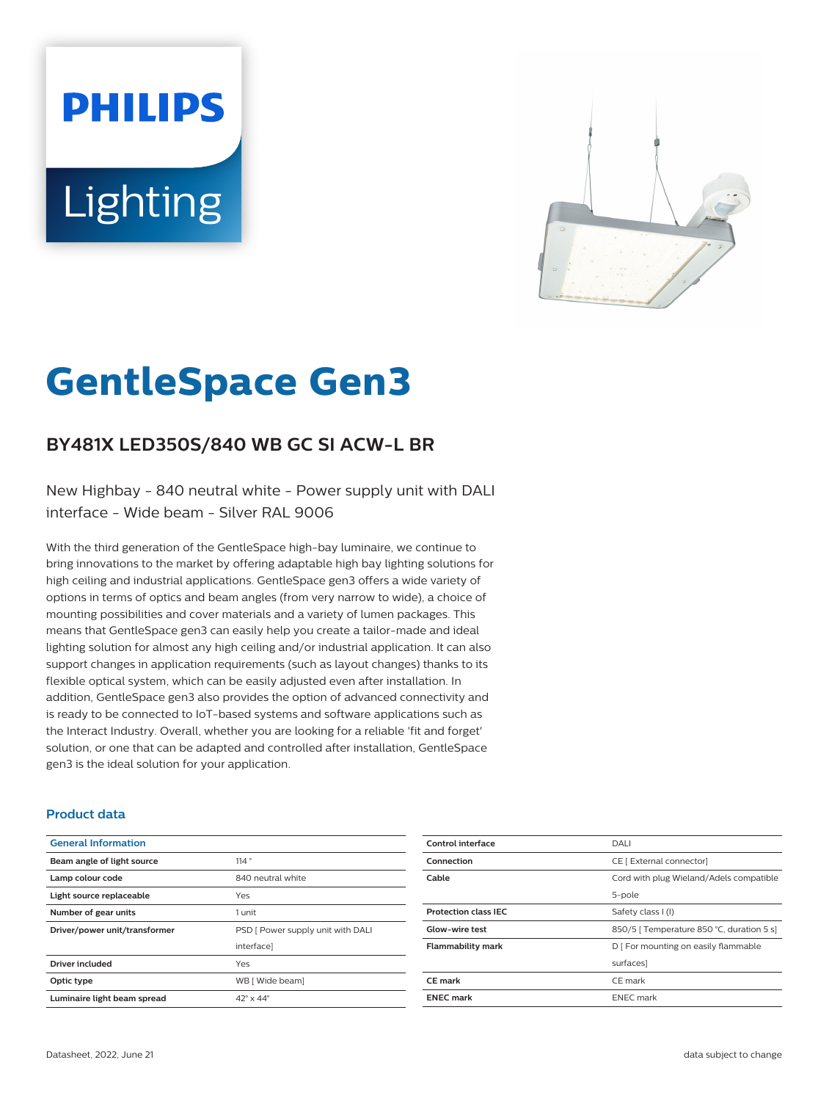# **PHILIPS** Lighting



# **GentleSpace Gen3**

# **BY481X LED350S/840 WB GC SI ACW-L BR**

New Highbay - 840 neutral white - Power supply unit with DALI interface - Wide beam - Silver RAL 9006

With the third generation of the GentleSpace high-bay luminaire, we continue to bring innovations to the market by offering adaptable high bay lighting solutions for high ceiling and industrial applications. GentleSpace gen3 offers a wide variety of options in terms of optics and beam angles (from very narrow to wide), a choice of mounting possibilities and cover materials and a variety of lumen packages. This means that GentleSpace gen3 can easily help you create a tailor-made and ideal lighting solution for almost any high ceiling and/or industrial application. It can also support changes in application requirements (such as layout changes) thanks to its flexible optical system, which can be easily adjusted even after installation. In addition, GentleSpace gen3 also provides the option of advanced connectivity and is ready to be connected to IoT-based systems and software applications such as the Interact Industry. Overall, whether you are looking for a reliable 'fit and forget' solution, or one that can be adapted and controlled after installation, GentleSpace gen3 is the ideal solution for your application.

### **Product data**

| <b>General Information</b>    |                                   |
|-------------------------------|-----------------------------------|
| Beam angle of light source    | 114°                              |
| Lamp colour code              | 840 neutral white                 |
| Light source replaceable      | Yes                               |
| Number of gear units          | 1 unit                            |
| Driver/power unit/transformer | PSD [ Power supply unit with DALI |
|                               | interface]                        |
| <b>Driver included</b>        | Yes                               |
| Optic type                    | WB [ Wide beam]                   |
| Luminaire light beam spread   | $42^{\circ}$ x $44^{\circ}$       |

| Control interface           | DALI                                      |
|-----------------------------|-------------------------------------------|
| Connection                  | CE [ External connector]                  |
| Cable                       | Cord with plug Wieland/Adels compatible   |
|                             | 5-pole                                    |
| <b>Protection class IEC</b> | Safety class I (I)                        |
| <b>Glow-wire test</b>       | 850/5   Temperature 850 °C, duration 5 s] |
| <b>Flammability mark</b>    | D   For mounting on easily flammable      |
|                             | surfaces]                                 |
| CE mark                     | CE mark                                   |
| <b>ENEC mark</b>            | <b>ENEC</b> mark                          |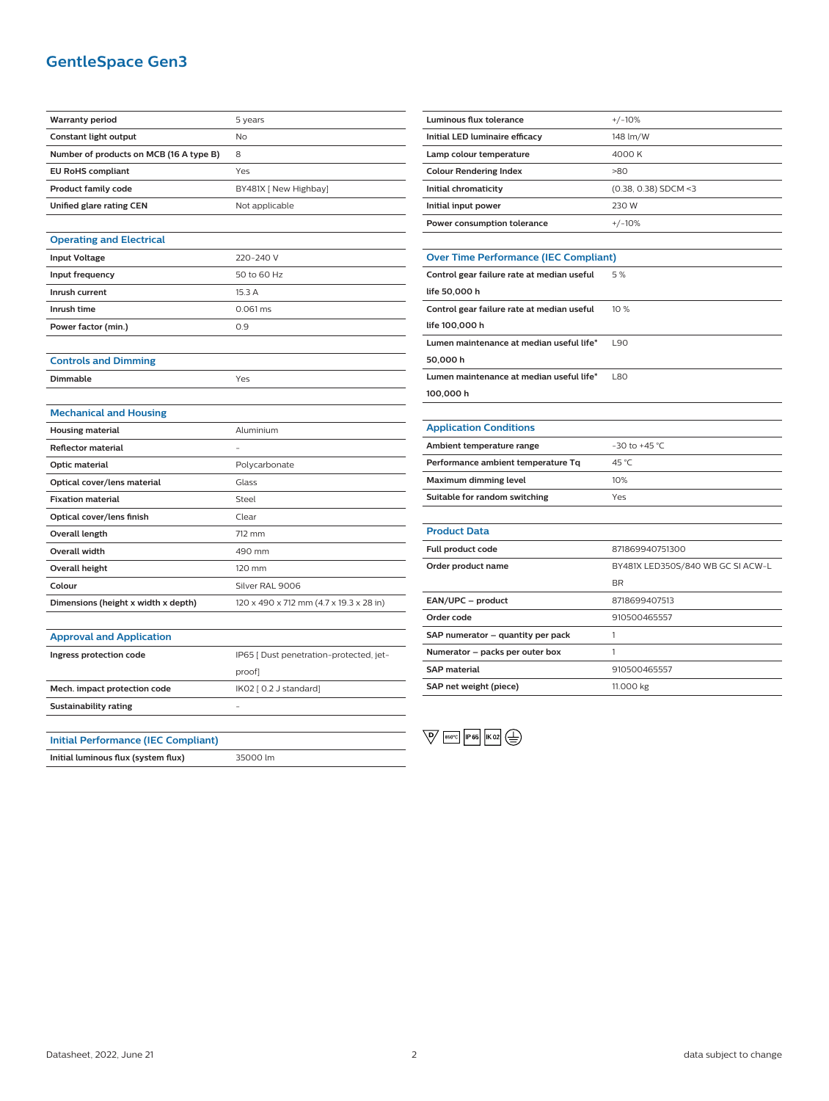# **GentleSpace Gen3**

| <b>Warranty period</b>                     | 5 years                                 |
|--------------------------------------------|-----------------------------------------|
| Constant light output                      | No                                      |
| Number of products on MCB (16 A type B)    | 8                                       |
| <b>EU RoHS compliant</b>                   | Yes                                     |
| <b>Product family code</b>                 | BY481X [ New Highbay]                   |
| Unified glare rating CEN                   | Not applicable                          |
|                                            |                                         |
| <b>Operating and Electrical</b>            |                                         |
| <b>Input Voltage</b>                       | 220-240 V                               |
| Input frequency                            | 50 to 60 Hz                             |
| Inrush current                             | 15.3 A                                  |
| Inrush time                                | $0.061$ ms                              |
| Power factor (min.)                        | 0.9                                     |
|                                            |                                         |
| <b>Controls and Dimming</b>                |                                         |
| Dimmable                                   | Yes                                     |
|                                            |                                         |
| <b>Mechanical and Housing</b>              |                                         |
| <b>Housing material</b>                    | Aluminium                               |
| <b>Reflector material</b>                  |                                         |
| Optic material                             | Polycarbonate                           |
| Optical cover/lens material                | Glass                                   |
| <b>Fixation material</b>                   | Steel                                   |
| Optical cover/lens finish                  | Clear                                   |
| Overall length                             | 712 mm                                  |
| <b>Overall width</b>                       | 490 mm                                  |
| <b>Overall height</b>                      | 120 mm                                  |
| Colour                                     | Silver RAL 9006                         |
| Dimensions (height x width x depth)        | 120 x 490 x 712 mm (4.7 x 19.3 x 28 in) |
|                                            |                                         |
| <b>Approval and Application</b>            |                                         |
| Ingress protection code                    | IP65 [ Dust penetration-protected, jet- |
|                                            | proof]                                  |
| Mech. impact protection code               | IK02 [ 0.2 J standard]                  |
| <b>Sustainability rating</b>               |                                         |
|                                            |                                         |
| <b>Initial Performance (IEC Compliant)</b> |                                         |
| Initial luminous flux (system flux)        | 35000 lm                                |

| <b>Luminous flux tolerance</b>               | $+/-10%$                          |
|----------------------------------------------|-----------------------------------|
| Initial LED luminaire efficacy               | 148 lm/W                          |
| Lamp colour temperature                      | 4000 K                            |
| <b>Colour Rendering Index</b>                | >80                               |
| Initial chromaticity                         | (0.38, 0.38) SDCM <3              |
| Initial input power                          | 230 W                             |
| Power consumption tolerance                  | $+/-10%$                          |
|                                              |                                   |
| <b>Over Time Performance (IEC Compliant)</b> |                                   |
| Control gear failure rate at median useful   | 5%                                |
| life 50,000 h                                |                                   |
| Control gear failure rate at median useful   | 10%                               |
| life 100,000 h                               |                                   |
| Lumen maintenance at median useful life*     | 190                               |
| 50,000 h                                     |                                   |
| Lumen maintenance at median useful life*     | L80                               |
| 100,000 h                                    |                                   |
|                                              |                                   |
| <b>Application Conditions</b>                |                                   |
| Ambient temperature range                    | $-30$ to $+45$ °C                 |
| Performance ambient temperature Tq           | 45 °C                             |
| Maximum dimming level                        | 10%                               |
| Suitable for random switching                | Yes                               |
|                                              |                                   |
| <b>Product Data</b>                          |                                   |
| Full product code                            | 871869940751300                   |
| Order product name                           | BY481X LED350S/840 WB GC SI ACW-L |
|                                              | BR                                |
| EAN/UPC - product                            | 8718699407513                     |
| Order code                                   | 910500465557                      |
| SAP numerator - quantity per pack            | 1                                 |
| Numerator – packs per outer box              | 1                                 |
| <b>SAP</b> material                          | 910500465557                      |

 $\overline{\mathbb{Q}}$   $\overline{\mathbb{R}^{60^{\circ}C}}$   $\overline{\mathbb{R}^{66}}$   $\overline{\mathbb{R}^{02}}$   $\overline{\mathbb{R}^{02}}$ 

**SAP net weight (piece)** 11.000 kg